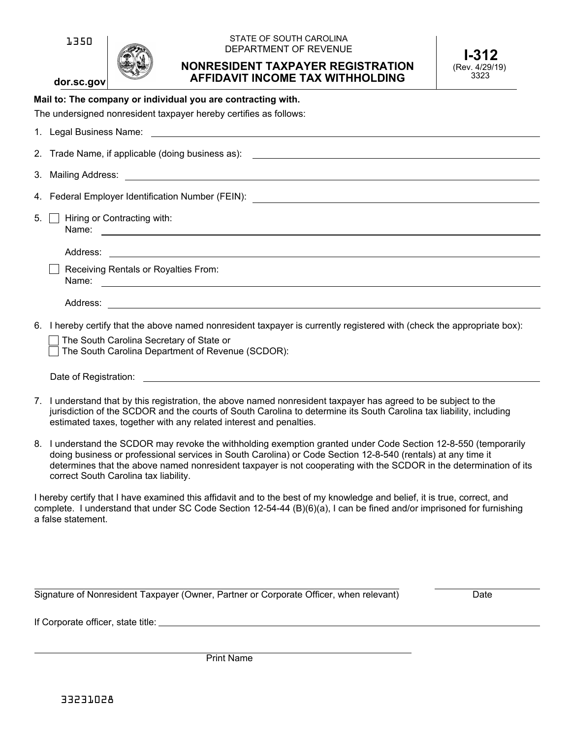# **dor.sc.gov**

#### STATE OF SOUTH CAROLINA DEPARTMENT OF REVENUE

# **NONRESIDENT TAXPAYER REGISTRATION AFFIDAVIT INCOME TAX WITHHOLDING**

# **Mail to: The company or individual you are contracting with.**

| The undersigned nonresident taxpayer hereby certifies as follows: |  |  |  |
|-------------------------------------------------------------------|--|--|--|
|                                                                   |  |  |  |

| 5. | Hiring or Contracting with:                                                                                             |
|----|-------------------------------------------------------------------------------------------------------------------------|
|    |                                                                                                                         |
|    | Receiving Rentals or Royalties From:<br>Name:                                                                           |
|    | Address:<br><u> 1989 - Andrea Stadt Britain, fransk politik (d. 1989)</u>                                               |
|    | 6. I hereby certify that the above named nonresident taxpayer is currently registered with (check the appropriate box): |

|  | □ The South Carolina Secretary of State or |  |  |
|--|--------------------------------------------|--|--|
|  | □ The South Carolina Department of Reven   |  |  |

|  | The South Carolina Department of Revenue (SCDOR): |  |
|--|---------------------------------------------------|--|
|--|---------------------------------------------------|--|

|  | Date of Registration: |
|--|-----------------------|
|--|-----------------------|

- 7. I understand that by this registration, the above named nonresident taxpayer has agreed to be subject to the jurisdiction of the SCDOR and the courts of South Carolina to determine its South Carolina tax liability, including estimated taxes, together with any related interest and penalties.
- 8. I understand the SCDOR may revoke the withholding exemption granted under Code Section 12-8-550 (temporarily doing business or professional services in South Carolina) or Code Section 12-8-540 (rentals) at any time it determines that the above named nonresident taxpayer is not cooperating with the SCDOR in the determination of its correct South Carolina tax liability.

I hereby certify that I have examined this affidavit and to the best of my knowledge and belief, it is true, correct, and complete. I understand that under SC Code Section 12-54-44 (B)(6)(a), I can be fined and/or imprisoned for furnishing a false statement.

Signature of Nonresident Taxpayer (Owner, Partner or Corporate Officer, when relevant) Date

If Corporate officer, state title:

Print Name